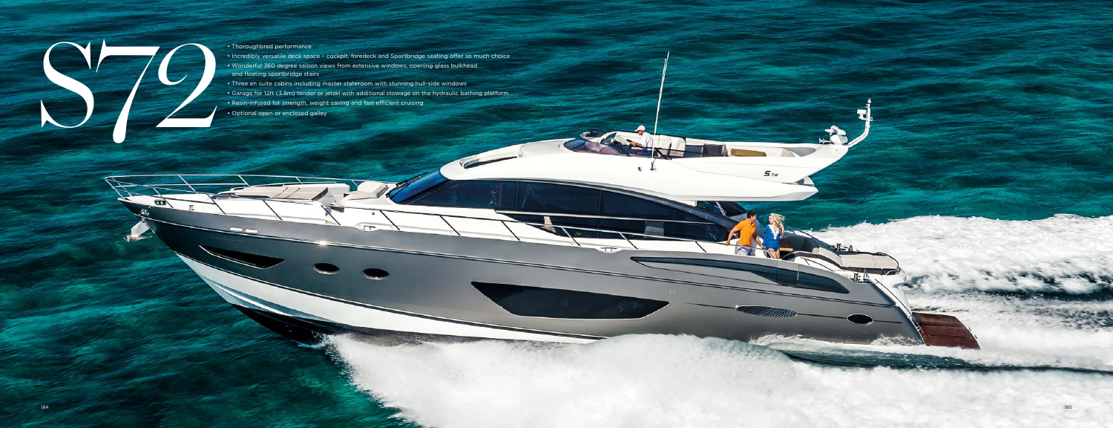

- Thoroughbred performance
- Incredibly versatile deck space cockpit, foredeck and Sportbridge seating offer so much choice
- Wonderful 360 degree saloon views from extensive windows, opening glass bulkhead and floating sportbridge stairs • Thoroughbred performance<br>• Incredibly versatile deck space - cockpit, foredeck and Sportbridge<br>• Wonderful 360 degree saloon views from extensive windows, open<br>• Three en suite cabins including master stateroom with stun
	- Three en suite cabins including master stateroom with stunning hull-side windows
	- Garage for 12ft (3.8m) tender or jetski with additional stowage on the hydraulic bathing platform
	-
	-

 $\alpha$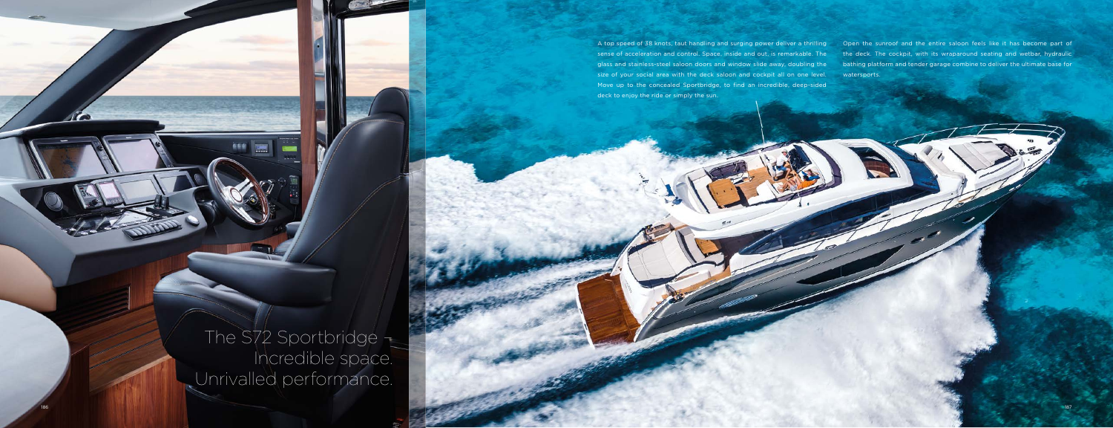A top speed of 38 knots, taut handling and surging power deliver a thrilling sense of acceleration and control. Space, inside and out, is remarkable. The glass and stainless-steel saloon doors and window slide away, doubling the size of your social area with the deck saloon and cockpit all on one level. Move up to the concealed Sportbridge, to find an incredible, deep-sided deck to enjoy the ride or simply the sun.

Open the sunroof and the entire saloon feels like it has become part of the deck. The cockpit, with its wraparound seating and wetbar, hydraulic bathing platform and tender garage combine to deliver the ultimate base for watersports.



The S72 Sportbridge – Incredible space. Unrivalled performance.

 $\frac{1}{2}$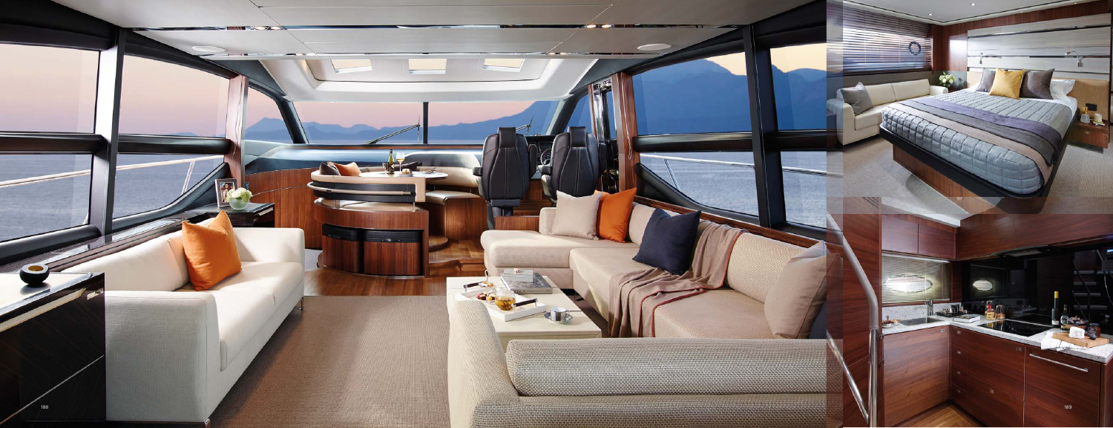